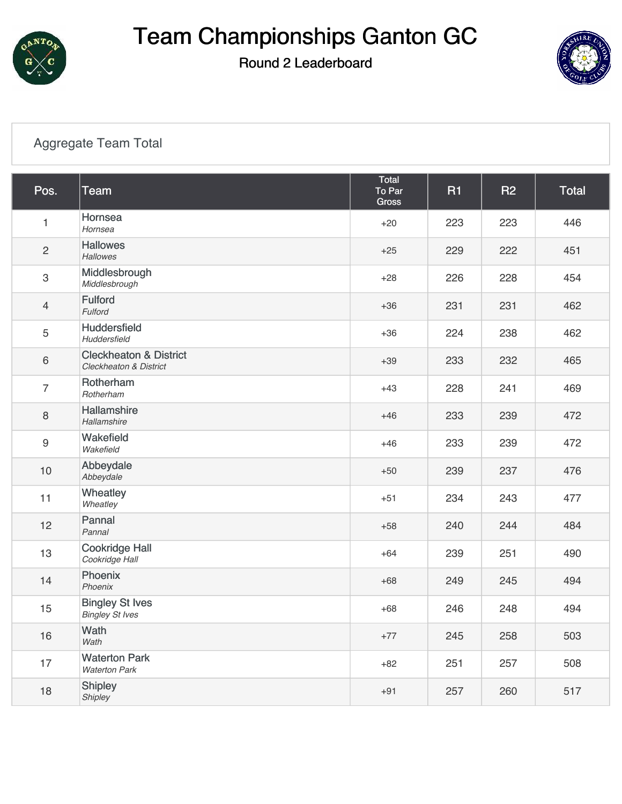

Round 2 Leaderboard



#### [Aggregate Team Total](https://cdn2.golfgenius.com/v2tournaments/7027116255861570410?called_from=&round_index=2)

| Pos.           | <b>Team</b>                                                            | Total<br>To Par<br>Gross | <b>R1</b> | <b>R2</b> | <b>Total</b> |
|----------------|------------------------------------------------------------------------|--------------------------|-----------|-----------|--------------|
| 1              | Hornsea<br>Hornsea                                                     | $+20$                    | 223       | 223       | 446          |
| $\overline{c}$ | <b>Hallowes</b><br><b>Hallowes</b>                                     | $+25$                    | 229       | 222       | 451          |
| $\,3$          | Middlesbrough<br>Middlesbrough                                         | $+28$                    | 226       | 228       | 454          |
| $\overline{4}$ | <b>Fulford</b><br>Fulford                                              | $+36$                    | 231       | 231       | 462          |
| 5              | <b>Huddersfield</b><br>Huddersfield                                    | $+36$                    | 224       | 238       | 462          |
| $6\,$          | <b>Cleckheaton &amp; District</b><br><b>Cleckheaton &amp; District</b> | $+39$                    | 233       | 232       | 465          |
| $\overline{7}$ | Rotherham<br>Rotherham                                                 | $+43$                    | 228       | 241       | 469          |
| 8              | Hallamshire<br>Hallamshire                                             | $+46$                    | 233       | 239       | 472          |
| 9              | Wakefield<br>Wakefield                                                 | $+46$                    | 233       | 239       | 472          |
| 10             | Abbeydale<br>Abbeydale                                                 | $+50$                    | 239       | 237       | 476          |
| 11             | Wheatley<br>Wheatley                                                   | $+51$                    | 234       | 243       | 477          |
| 12             | Pannal<br>Pannal                                                       | $+58$                    | 240       | 244       | 484          |
| 13             | <b>Cookridge Hall</b><br>Cookridge Hall                                | $+64$                    | 239       | 251       | 490          |
| 14             | Phoenix<br>Phoenix                                                     | $+68$                    | 249       | 245       | 494          |
| 15             | <b>Bingley St Ives</b><br><b>Bingley St Ives</b>                       | $+68$                    | 246       | 248       | 494          |
| 16             | Wath<br>Wath                                                           | $+77$                    | 245       | 258       | 503          |
| 17             | <b>Waterton Park</b><br><b>Waterton Park</b>                           | $+82$                    | 251       | 257       | 508          |
| 18             | <b>Shipley</b><br>Shipley                                              | $+91$                    | 257       | 260       | 517          |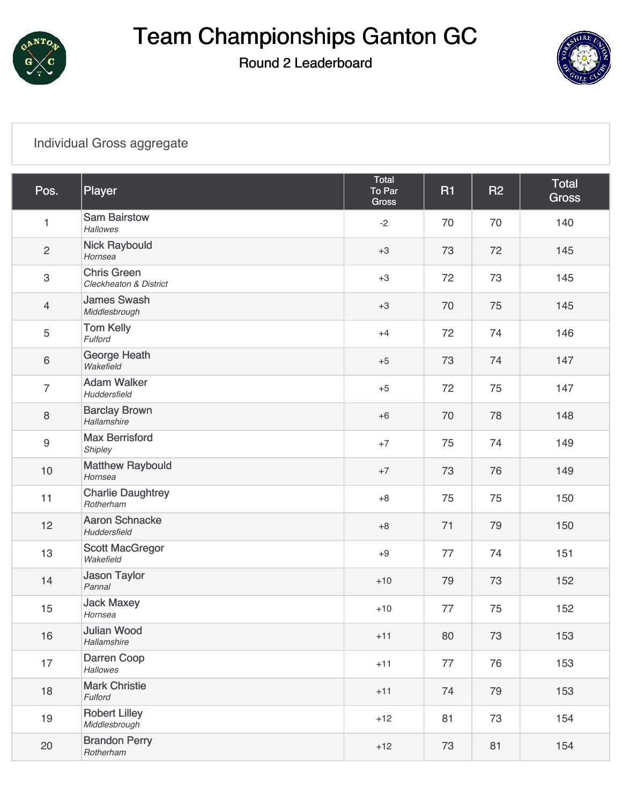

Round 2 Leaderboard



#### [Individual Gross aggregate](https://cdn2.golfgenius.com/v2tournaments/7027116273007885165?called_from=&round_index=2)

| Pos.             | Player                                       | Total<br>To Par<br>Gross | <b>R1</b> | <b>R2</b> | <b>Total</b><br><b>Gross</b> |
|------------------|----------------------------------------------|--------------------------|-----------|-----------|------------------------------|
| $\mathbf{1}$     | <b>Sam Bairstow</b><br><b>Hallowes</b>       | $-2$                     | 70        | 70        | 140                          |
| $\overline{2}$   | <b>Nick Raybould</b><br>Hornsea              | $+3$                     | 73        | 72        | 145                          |
| $\,3$            | <b>Chris Green</b><br>Cleckheaton & District | $+3$                     | 72        | 73        | 145                          |
| $\overline{4}$   | <b>James Swash</b><br>Middlesbrough          | $+3$                     | 70        | 75        | 145                          |
| $\mathbf 5$      | <b>Tom Kelly</b><br>Fulford                  | $+4$                     | 72        | 74        | 146                          |
| $\,6\,$          | George Heath<br>Wakefield                    | $+5$                     | 73        | 74        | 147                          |
| $\overline{7}$   | <b>Adam Walker</b><br>Huddersfield           | $+5$                     | 72        | 75        | 147                          |
| $\,8\,$          | <b>Barclay Brown</b><br>Hallamshire          | $+6$                     | 70        | 78        | 148                          |
| $\boldsymbol{9}$ | <b>Max Berrisford</b><br>Shipley             | $+7$                     | 75        | 74        | 149                          |
| $10$             | <b>Matthew Raybould</b><br>Hornsea           | $+7$                     | 73        | 76        | 149                          |
| 11               | <b>Charlie Daughtrey</b><br>Rotherham        | $+8$                     | 75        | 75        | 150                          |
| 12               | <b>Aaron Schnacke</b><br>Huddersfield        | $+8$                     | 71        | 79        | 150                          |
| 13               | <b>Scott MacGregor</b><br>Wakefield          | $+9$                     | 77        | 74        | 151                          |
| 14               | <b>Jason Taylor</b><br>Pannal                | $+10$                    | 79        | 73        | 152                          |
| 15               | <b>Jack Maxey</b><br>Hornsea                 | $+10$                    | 77        | 75        | 152                          |
| 16               | <b>Julian Wood</b><br>Hallamshire            | $+11$                    | 80        | 73        | 153                          |
| 17               | Darren Coop<br>Hallowes                      | $+11$                    | 77        | 76        | 153                          |
| 18               | <b>Mark Christie</b><br>Fulford              | $+11$                    | 74        | 79        | 153                          |
| 19               | <b>Robert Lilley</b><br>Middlesbrough        | $+12$                    | 81        | 73        | 154                          |
| 20               | <b>Brandon Perry</b><br>Rotherham            | $+12$                    | 73        | 81        | 154                          |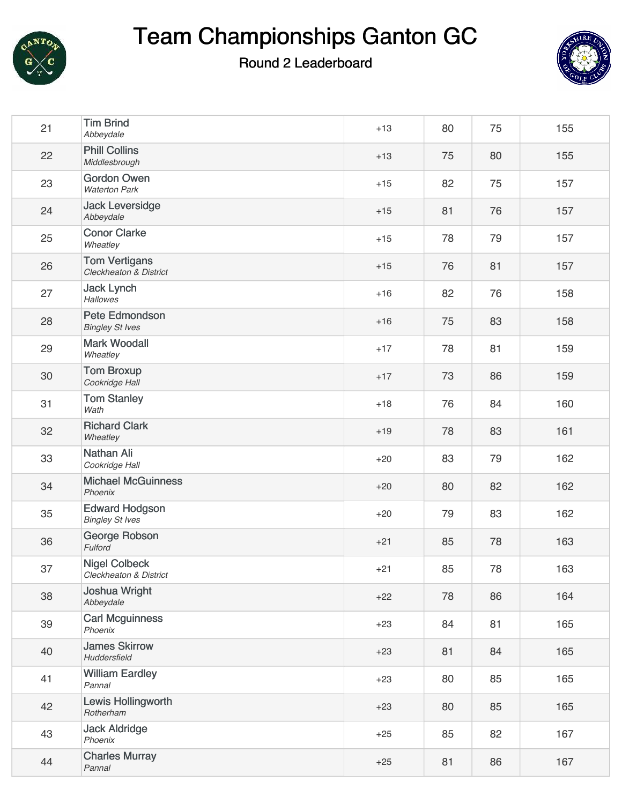

#### Round 2 Leaderboard



| 21 | <b>Tim Brind</b><br>Abbeydale                   | $+13$ | 80 | 75 | 155 |
|----|-------------------------------------------------|-------|----|----|-----|
| 22 | <b>Phill Collins</b><br>Middlesbrough           | $+13$ | 75 | 80 | 155 |
| 23 | <b>Gordon Owen</b><br><b>Waterton Park</b>      | $+15$ | 82 | 75 | 157 |
| 24 | <b>Jack Leversidge</b><br>Abbeydale             | $+15$ | 81 | 76 | 157 |
| 25 | <b>Conor Clarke</b><br>Wheatley                 | $+15$ | 78 | 79 | 157 |
| 26 | <b>Tom Vertigans</b><br>Cleckheaton & District  | $+15$ | 76 | 81 | 157 |
| 27 | <b>Jack Lynch</b><br><b>Hallowes</b>            | $+16$ | 82 | 76 | 158 |
| 28 | Pete Edmondson<br><b>Bingley St Ives</b>        | $+16$ | 75 | 83 | 158 |
| 29 | <b>Mark Woodall</b><br>Wheatley                 | $+17$ | 78 | 81 | 159 |
| 30 | <b>Tom Broxup</b><br>Cookridge Hall             | $+17$ | 73 | 86 | 159 |
| 31 | <b>Tom Stanley</b><br>Wath                      | $+18$ | 76 | 84 | 160 |
| 32 | <b>Richard Clark</b><br>Wheatley                | $+19$ | 78 | 83 | 161 |
| 33 | Nathan Ali<br>Cookridge Hall                    | $+20$ | 83 | 79 | 162 |
| 34 | <b>Michael McGuinness</b><br>Phoenix            | $+20$ | 80 | 82 | 162 |
| 35 | <b>Edward Hodgson</b><br><b>Bingley St Ives</b> | $+20$ | 79 | 83 | 162 |
| 36 | George Robson<br>Fulford                        | $+21$ | 85 | 78 | 163 |
| 37 | <b>Nigel Colbeck</b><br>Cleckheaton & District  | $+21$ | 85 | 78 | 163 |
| 38 | Joshua Wright<br>Abbeydale                      | $+22$ | 78 | 86 | 164 |
| 39 | <b>Carl Mcguinness</b><br>Phoenix               | $+23$ | 84 | 81 | 165 |
| 40 | <b>James Skirrow</b><br>Huddersfield            | $+23$ | 81 | 84 | 165 |
| 41 | <b>William Eardley</b><br>Pannal                | $+23$ | 80 | 85 | 165 |
| 42 | Lewis Hollingworth<br>Rotherham                 | $+23$ | 80 | 85 | 165 |
| 43 | <b>Jack Aldridge</b><br>Phoenix                 | $+25$ | 85 | 82 | 167 |
| 44 | <b>Charles Murray</b><br>Pannal                 | $+25$ | 81 | 86 | 167 |